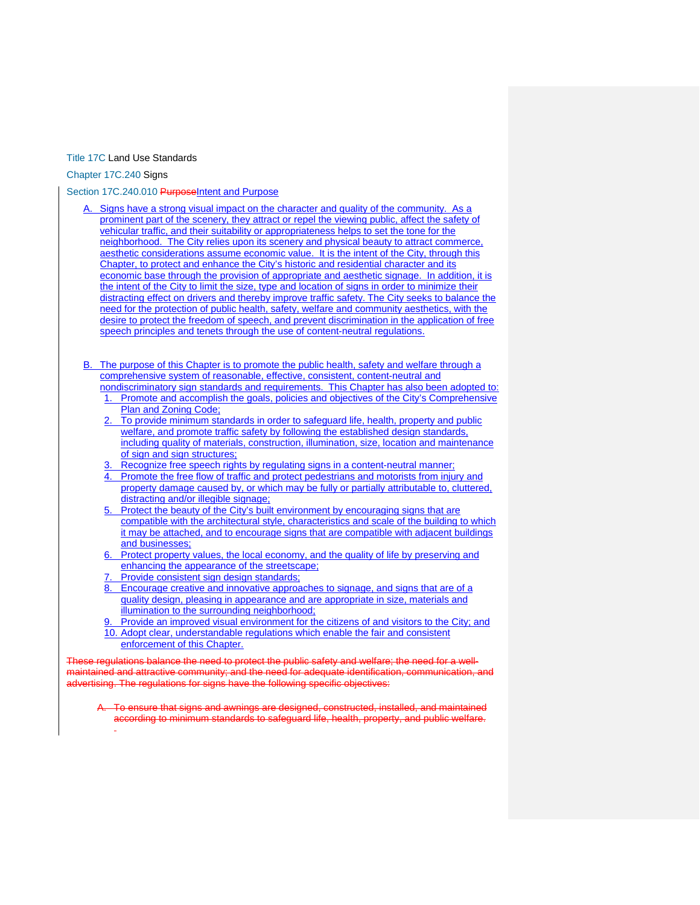## [Title 17C](https://my.spokanecity.org/smc/?Title=17C) Land Use Standards

[Chapter 17C.240](https://my.spokanecity.org/smc/?Chapter=17C.240) Signs

[Section 17C.240.010](https://my.spokanecity.org/smc/?Section=17C.240.010) PurposeIntent and Purpose

- Signs have a strong visual impact on the character and quality of the community. As a prominent part of the scenery, they attract or repel the viewing public, affect the safety of vehicular traffic, and their suitability or appropriateness helps to set the tone for the neighborhood. The City relies upon its scenery and physical beauty to attract commerce, aesthetic considerations assume economic value. It is the intent of the City, through this Chapter, to protect and enhance the City's historic and residential character and its economic base through the provision of appropriate and aesthetic signage. In addition, it is the intent of the City to limit the size, type and location of signs in order to minimize their distracting effect on drivers and thereby improve traffic safety. The City seeks to balance the need for the protection of public health, safety, welfare and community aesthetics, with the desire to protect the freedom of speech, and prevent discrimination in the application of free speech principles and tenets through the use of content-neutral regulations.
- B. The purpose of this Chapter is to promote the public health, safety and welfare through a comprehensive system of reasonable, effective, consistent, content-neutral and nondiscriminatory sign standards and requirements. This Chapter has also been adopted to:
	- 1. Promote and accomplish the goals, policies and objectives of the City's Comprehensive Plan and Zoning Code;
	- To provide minimum standards in order to safeguard life, health, property and public welfare, and promote traffic safety by following the established design standards, including quality of materials, construction, illumination, size, location and maintenance of sign and sign structures;
	- Recognize free speech rights by regulating signs in a content-neutral manner;
	- 4. Promote the free flow of traffic and protect pedestrians and motorists from injury and property damage caused by, or which may be fully or partially attributable to, cluttered, distracting and/or illegible signage;
	- 5. Protect the beauty of the City's built environment by encouraging signs that are compatible with the architectural style, characteristics and scale of the building to which it may be attached, and to encourage signs that are compatible with adjacent buildings and businesses;
	- 6. Protect property values, the local economy, and the quality of life by preserving and enhancing the appearance of the streetscape;
	- Provide consistent sign design standards;
	- 8. Encourage creative and innovative approaches to signage, and signs that are of a quality design, pleasing in appearance and are appropriate in size, materials and illumination to the surrounding neighborhood;
	- Provide an improved visual environment for the citizens of and visitors to the City; and
	- 10. Adopt clear, understandable regulations which enable the fair and consistent enforcement of this Chapter.

regulations balance the need to protect the public safety and welfare; the need for a wellmaintained and attractive community; and the need for adequate identification, communication, and The regulations for signs have the following specific objectives:

A. To ensure that signs and awnings are designed, constructed, installed, and maintained according to minimum standards to safeguard life, health, property, and public welfare